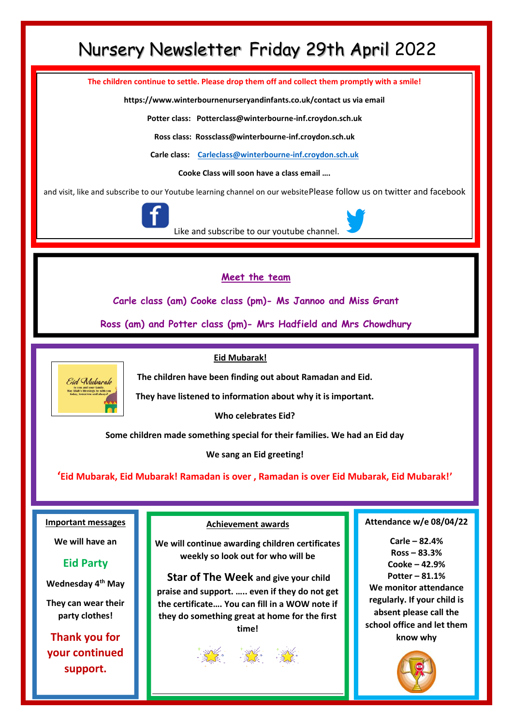## Nursery Newsletter Friday 29th April 2022

**The children continue to settle. Please drop them off and collect them promptly with a smile!**

**https://www.winterbournenurseryandinfants.co.uk/contact us via email**

**Potter class: Potterclass@winterbourne-inf.croydon.sch.uk**

**Ross class: Rossclass@winterbourne-inf.croydon.sch.uk**

**Carle class: [Carleclass@winterbourne-inf.croydon.sch.uk](mailto:Carleclass@winterbourne-inf.croydon.sch.uk)**

**Cooke Class will soon have a class email ….**

and visit, like and subscribe to our Youtube learning channel on our websitePlease follow us on twitter and facebook



Like and subscribe to our youtube channel.

#### **Meet the team**

**Carle class (am) Cooke class (pm)- Ms Jannoo and Miss Grant**

**Ross (am) and Potter class (pm)- Mrs Hadfield and Mrs Chowdhury**

#### **Eid Mubarak!**

**The children have been finding out about Ramadan and Eid.** 

**They have listened to information about why it is important.**

**Who celebrates Eid?**

**Some children made something special for their families. We had an Eid day**

**We sang an Eid greeting!**

**'Eid Mubarak, Eid Mubarak! Ramadan is over , Ramadan is over Eid Mubarak, Eid Mubarak!'**

#### **Important messages**

Eid Mubarak

**We will have an** 

#### **Eid Party**

**Wednesday 4th May**

**They can wear their party clothes!**

**Thank you for your continued support.**

**Achievement awards**

**We will continue awarding children certificates weekly so look out for who will be**

**Star of The Week and give your child praise and support. ….. even if they do not get the certificate…. You can fill in a WOW note if they do something great at home for the first time!** 



#### **Attendance w/e 08/04/22**

**Carle – 82.4% Ross – 83.3% Cooke – 42.9% Potter – 81.1% We monitor attendance regularly. If your child is absent please call the school office and let them know why**